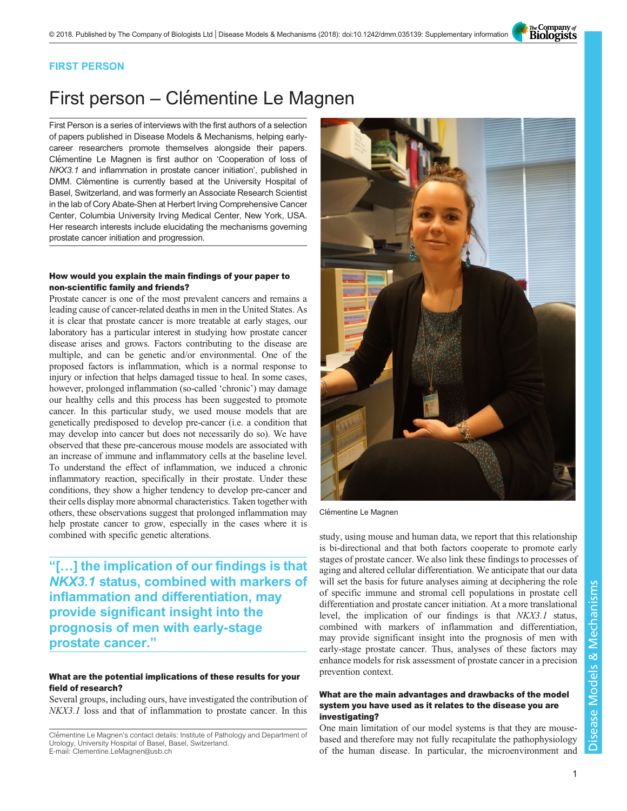The Company of<br>**Biologists** 

## FIRST PERSON

# First person – Clémentine Le Magnen

First Person is a series of interviews with the first authors of a selection of papers published in Disease Models & Mechanisms, helping earlycareer researchers promote themselves alongside their papers. Clémentine Le Magnen is first author on '[Cooperation of loss of](#page-1-0) NKX3.1 [and inflammation in prostate cancer initiation](#page-1-0)', published in DMM. Clémentine is currently based at the University Hospital of Basel, Switzerland, and was formerly an Associate Research Scientist in the lab of Cory Abate-Shen at Herbert Irving Comprehensive Cancer Center, Columbia University Irving Medical Center, New York, USA. Her research interests include elucidating the mechanisms governing prostate cancer initiation and progression.

### How would you explain the main findings of your paper to non-scientific family and friends?

Prostate cancer is one of the most prevalent cancers and remains a leading cause of cancer-related deaths in men in the United States. As it is clear that prostate cancer is more treatable at early stages, our laboratory has a particular interest in studying how prostate cancer disease arises and grows. Factors contributing to the disease are multiple, and can be genetic and/or environmental. One of the proposed factors is inflammation, which is a normal response to injury or infection that helps damaged tissue to heal. In some cases, however, prolonged inflammation (so-called 'chronic') may damage our healthy cells and this process has been suggested to promote cancer. In this particular study, we used mouse models that are genetically predisposed to develop pre-cancer (i.e. a condition that may develop into cancer but does not necessarily do so). We have observed that these pre-cancerous mouse models are associated with an increase of immune and inflammatory cells at the baseline level. To understand the effect of inflammation, we induced a chronic inflammatory reaction, specifically in their prostate. Under these conditions, they show a higher tendency to develop pre-cancer and their cells display more abnormal characteristics. Taken together with others, these observations suggest that prolonged inflammation may help prostate cancer to grow, especially in the cases where it is combined with specific genetic alterations.

"[…] the implication of our findings is that NKX3.1 status, combined with markers of inflammation and differentiation, may provide significant insight into the prognosis of men with early-stage prostate cancer."

### What are the potential implications of these results for your field of research?

Several groups, including ours, have investigated the contribution of NKX3.1 loss and that of inflammation to prostate cancer. In this



Clémentine Le Magnen

study, using mouse and human data, we report that this relationship is bi-directional and that both factors cooperate to promote early stages of prostate cancer. We also link these findings to processes of aging and altered cellular differentiation. We anticipate that our data will set the basis for future analyses aiming at deciphering the role of specific immune and stromal cell populations in prostate cell differentiation and prostate cancer initiation. At a more translational level, the implication of our findings is that NKX3.1 status, combined with markers of inflammation and differentiation, may provide significant insight into the prognosis of men with early-stage prostate cancer. Thus, analyses of these factors may enhance models for risk assessment of prostate cancer in a precision prevention context.

#### What are the main advantages and drawbacks of the model system you have used as it relates to the disease you are investigating?

One main limitation of our model systems is that they are mousebased and therefore may not fully recapitulate the pathophysiology of the human disease. In particular, the microenvironment and

Clémentine Le Magnen's contact details: Institute of Pathology and Department of Urology, University Hospital of Basel, Basel, Switzerland. E-mail: [Clementine.LeMagnen@usb.ch](mailto:Clementine.LeMagnen@usb.ch)